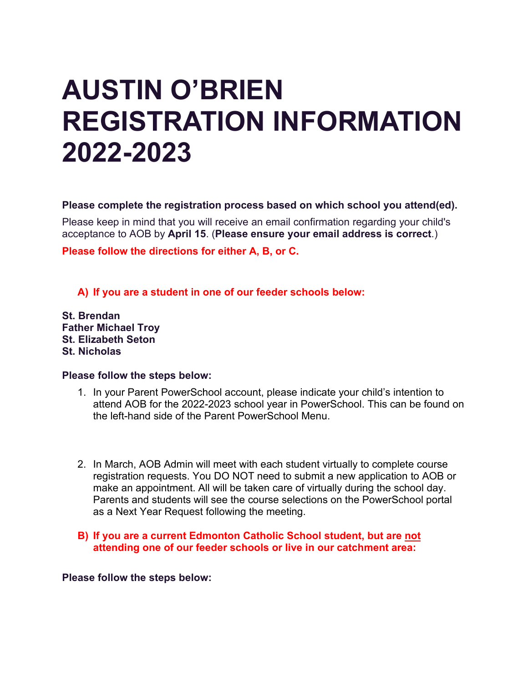# **AUSTIN O'BRIEN REGISTRATION INFORMATION 2022-2023**

**Please complete the registration process based on which school you attend(ed).**

Please keep in mind that you will receive an email confirmation regarding your child's acceptance to AOB by **April 15**. (**Please ensure your email address is correct**.)

**Please follow the directions for either A, B, or C.**

**A) If you are a student in one of our feeder schools below:**

**St. Brendan Father Michael Troy St. Elizabeth Seton St. Nicholas**

#### **Please follow the steps below:**

- 1. In your Parent PowerSchool account, please indicate your child's intention to attend AOB for the 2022-2023 school year in PowerSchool. This can be found on the left-hand side of the Parent PowerSchool Menu.
- 2. In March, AOB Admin will meet with each student virtually to complete course registration requests. You DO NOT need to submit a new application to AOB or make an appointment. All will be taken care of virtually during the school day. Parents and students will see the course selections on the PowerSchool portal as a Next Year Request following the meeting.
- **B) If you are a current Edmonton Catholic School student, but are not attending one of our feeder schools or live in our catchment area:**

**Please follow the steps below:**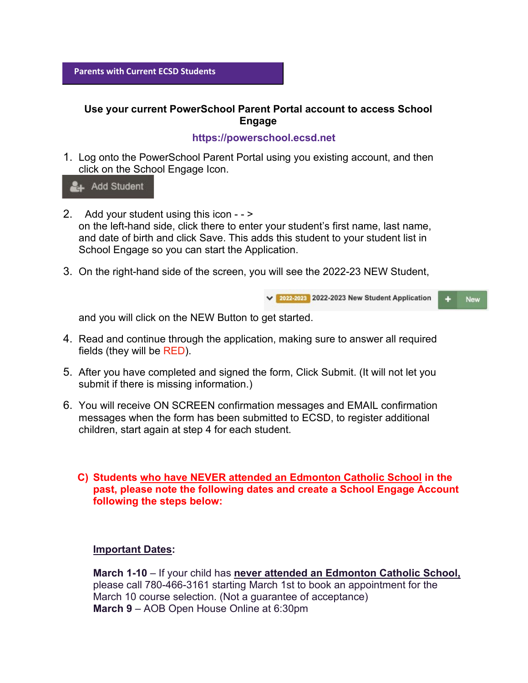# **Use your current PowerSchool Parent Portal account to access School Engage**

# **https://powerschool.ecsd.net**

1. Log onto the PowerSchool Parent Portal using you existing account, and then click on the School Engage Icon.

**2**+ Add Student

- 2. Add your student using this icon - > on the left-hand side, click there to enter your student's first name, last name, and date of birth and click Save. This adds this student to your student list in School Engage so you can start the Application.
- 3. On the right-hand side of the screen, you will see the 2022-23 NEW Student,

v 2022-2023 2022-2023 New Student Application  $\ddot{}$ New

and you will click on the NEW Button to get started.

- 4. Read and continue through the application, making sure to answer all required fields (they will be RED).
- 5. After you have completed and signed the form, Click Submit. (It will not let you submit if there is missing information.)
- 6. You will receive ON SCREEN confirmation messages and EMAIL confirmation messages when the form has been submitted to ECSD, to register additional children, start again at step 4 for each student.

### **C) Students who have NEVER attended an Edmonton Catholic School in the past, please note the following dates and create a School Engage Account following the steps below:**

### **Important Dates:**

**March 1-10** – If your child has **never attended an Edmonton Catholic School,** please call 780-466-3161 starting March 1st to book an appointment for the March 10 course selection. (Not a guarantee of acceptance) **March 9** – AOB Open House Online at 6:30pm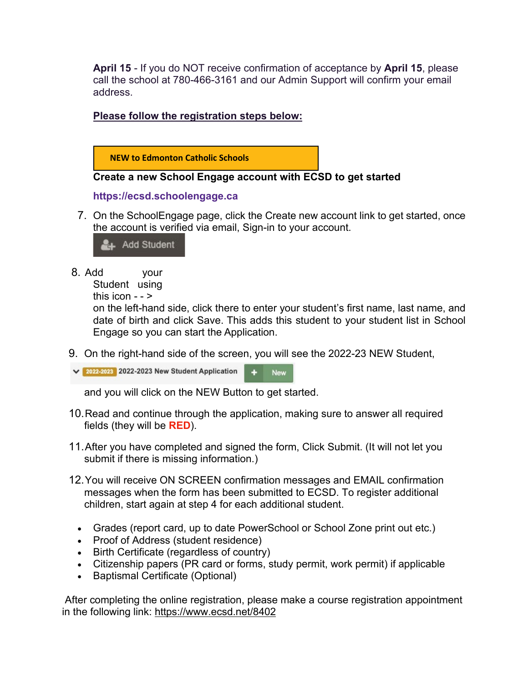**April 15** - If you do NOT receive confirmation of acceptance by **April 15**, please call the school at 780-466-3161 and our Admin Support will confirm your email address.

**Please follow the registration steps below:** 



# **Create a new School Engage account with ECSD to get started**

#### **https://ecsd.schoolengage.ca**

7. On the SchoolEngage page, click the Create new account link to get started, once the account is verified via email, Sign-in to your account.

**Add Student** 

8. Add your

```
Student using
```

```
this icon - - \ge
```
on the left-hand side, click there to enter your student's first name, last name, and date of birth and click Save. This adds this student to your student list in School Engage so you can start the Application.

9. On the right-hand side of the screen, you will see the 2022-23 NEW Student,

v 2022-2023 2022-2023 New Student Application  $+$ **New** 

and you will click on the NEW Button to get started.

- 10.Read and continue through the application, making sure to answer all required fields (they will be **RED**).
- 11.After you have completed and signed the form, Click Submit. (It will not let you submit if there is missing information.)
- 12.You will receive ON SCREEN confirmation messages and EMAIL confirmation messages when the form has been submitted to ECSD. To register additional children, start again at step 4 for each additional student.
	- Grades (report card, up to date PowerSchool or School Zone print out etc.)
	- Proof of Address (student residence)
	- Birth Certificate (regardless of country)
	- Citizenship papers (PR card or forms, study permit, work permit) if applicable
	- Baptismal Certificate (Optional)

After completing the online registration, please make a course registration appointment in the following link: <https://www.ecsd.net/8402>